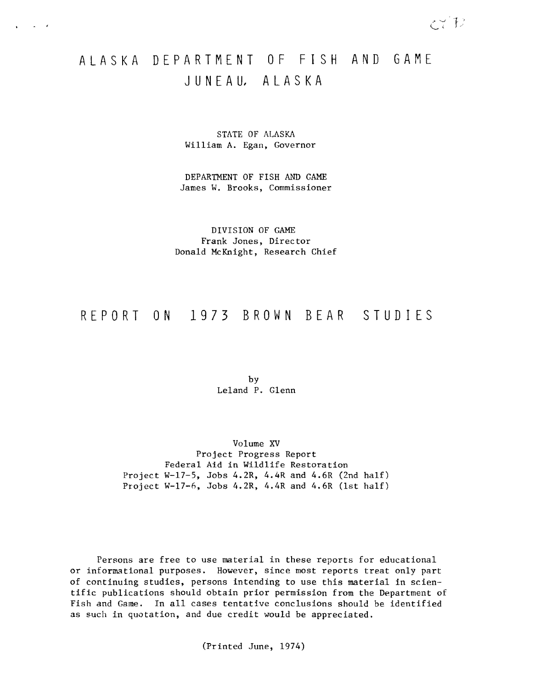# ALASKA DEPARTMENT OF FISH AND GAME J U**N**E A **U,** A L A S K A

 $\mathcal{L} \subset \mathcal{L}$ 

STATE OF ALASKA William A. Egan, Governor

DEPARTMENT OF FISH AND GAME James W. Brooks, Commissioner

DIVISION OF GAME Frank Jones, Director Donald McKnight, Research Chief

## REPORT **ON** 1973 BROWN BEAR S**T** U D I E S

by Leland P. Glenn

Volume XV Project Progress Report Federal Aid in Wildlife Restoration Project W-17-5, Jobs 4.2R, 4.4R and 4.6R (2nd half) Project W-17-6, Jobs 4.2R, 4.4R and 4.6R (1st half)

Persons are free to use material in these reports for educational or informational purposes. However, since most reports treat only part of continuing studies, persons intending to use this material in scientific publications should obtain prior permission from the Department of Fish and Game. In all cases tentative conclusions should be identified as such in quotation, and due credit would be appreciated.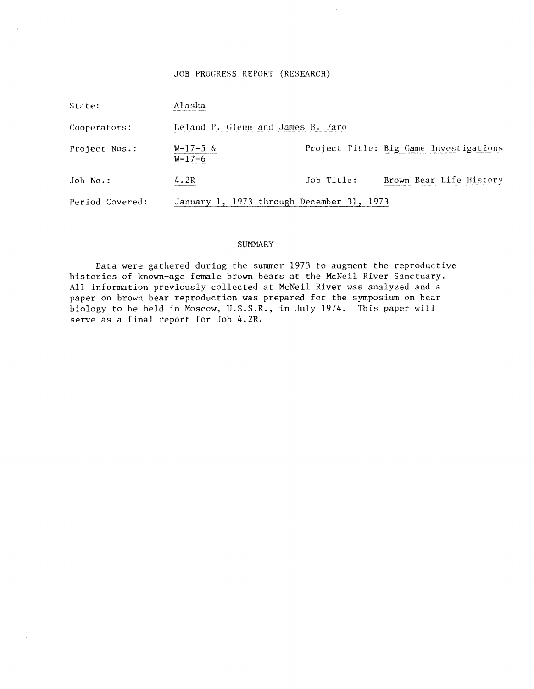## JOB PROGRESS REPORT (RESEARCH)

 $\mathbf{a}$  and  $\mathbf{a}$ 

 $\bar{\mathcal{A}}$ 

| State:          | Alaska                                    |            |                                        |
|-----------------|-------------------------------------------|------------|----------------------------------------|
| Cooperators:    | Leland P. Glenn and James B. Faro         |            |                                        |
| Project Nos.:   | $W-17-5$ &<br>$W-17-6$                    |            | Project Title: Big Game Investigations |
| $Joh$ No.:      | 4.2R                                      | Job Title: | Brown Bear Life History                |
| Period Covered: | January 1, 1973 through December 31, 1973 |            |                                        |

## **SUMMARY**

Data were gathered during the summer 1973 to augment the reproductive histories of known-age female brown bears at the McNeil River Sanctuary. All information previously collected at McNeil River was analyzed and a paper on brown bear reproduction was prepared for the symposium on bear biology to be held in Moscow, U.S.S.R., in July 1974. This paper will serve as a final report for Job 4.2R.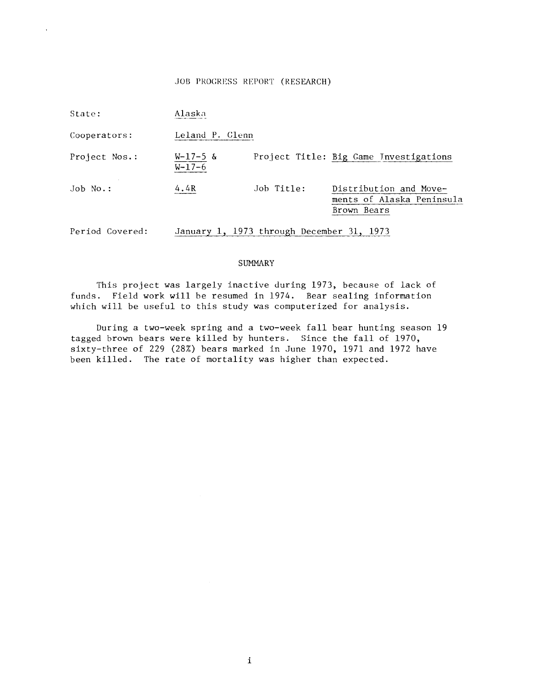## JOB PROGRESS REPORT (RESEARCH)

| State:          | Alaska                 |                                           |                                                                    |
|-----------------|------------------------|-------------------------------------------|--------------------------------------------------------------------|
| Cooperators:    | Leland P. Glenn        |                                           |                                                                    |
| Project Nos.:   | $W-17-5$ &<br>$W-17-6$ |                                           | Project Title: Big Game Investigations                             |
| $Job No.$ :     | 4.4R                   | Job Title:                                | Distribution and Move-<br>ments of Alaska Peninsula<br>Brown Bears |
| Period Covered: |                        | January 1, 1973 through December 31, 1973 |                                                                    |

## SUMMARY

This project was largely inactive during 1973, because of lack of funds. Field work will be resumed in 1974. Bear sealing information which will be useful to this study was computerized for analysis.

During a two-week spring and a two-week fall bear hunting season 19 tagged brown bears were killed by hunters. Since the fall of 1970, sixty-three of 229 (28%) bears marked in June 1970, 1971 and 1972 have been killed. The rate of mortality was higher than expected.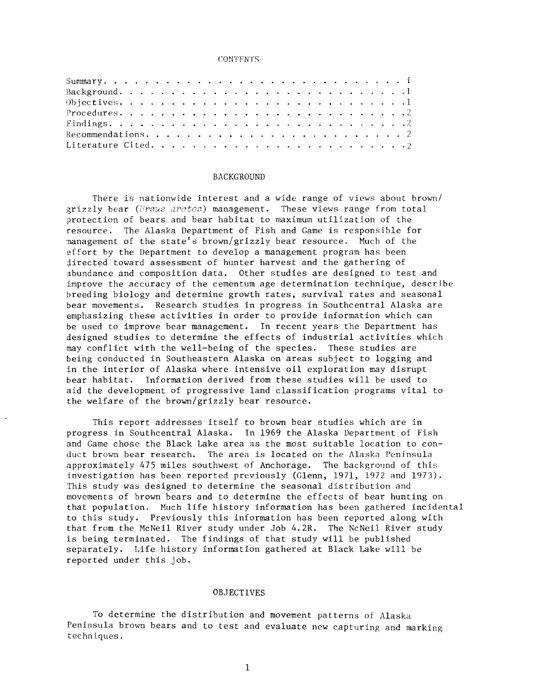#### CONTENTS

#### BACKGROUND

There is nationwide interest and a wide range of views about brown/ grizzly bear (Ursus arctos) management. These views range from total protection of bears and bear habitat to maximum utilization of the resource. The Alaska Department of Fish and Game is responsible for ·nanagement of the state's brown/grizzly bear resource. Much of the effort by the Department to develop a management program has been directed toward assessment of hunter harvest and the gathering of abundance and composition data. Other studies are designed to test and improve the accuracy of the cementum age determination technique, describe breeding biology and determine growth rates, survival rates and seasonal bear movements. Research studies in progress in Southcentral Alaska are emphasizing these activities in order to provide information which can be used to improve bear management. In recent years the Department has designed studies to determine the effects of industrial activities which may conflict with the well-being of the species. These studies are being conducted in Southeastern Alaska on areas subject to logging and in the interior of Alaska where intensive oil exploration may disrupt bear habitat. Information derived from these studies will be used to aid the development of progressive land classification programs vital to the welfare of the brown/grizzly bear resource.

This report addresses itself to brown bear studies which are in progress in Southcentral Alaska. In 1969 the Alaska Department of Fish and Game chose the Black Lake area as the most suitable location to conduct brown bear research. The area is located on the Alaska Peninsula approximately 475 miles southwest of Anchorage. The background of this investigation has been reported previously (Glenn, 1971, 1972 and 1973). This study was designed to determine the seasonal distribution and movements of brown bears and to determine the effects of bear hunting on that population. Much life history information has been gathered incidental to this study. Previously this information has been reported along with that from the McNeil River study under Job 4.2R. The NcNeil River study is being terminated. The findings of that study will be published separately. Life history information gathered at Black Lake will be reported under this job.

#### OBJECTIVES

To determine the distribution and movement patterns of Alaska Peninsula brown bears and to test and evaluate new capturing and marking techniques.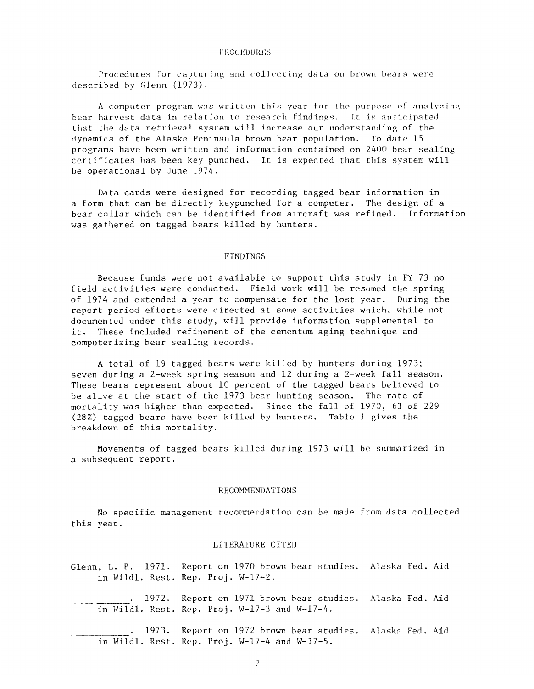#### **PROCEDURES**

Procedures for capturing and collecting data on brown bears were described by Glenn  $(1973)$ .

A computer program was written this year for the purpose of analyzing bear harvest data in relation to research findings. It is anticipated that the data retrieval system will increase our understanding of the dynamics of the Alaska Peninsula brown bear population. To date 15 programs have been written and information contained on 2400 bear sealing certificates has been key punched. It is expected that this system will be operational by June 1974.

Data cards were designed for recording tagged bear information in a form that can be directly keypunched for a computer. The design of a bear collar which can be identified from aircraft was refined. Information was gathered on tagged bears killed by hunters.

## FINDINGS

Because funds were not available to support this study in FY 73 no field activities were conducted. Field work will be resumed the spring of 1974 and extended a year to compensate for the lost year. During the report period efforts were directed at some activities which, while not documented under this study, will provide information supplemental to<br>it. These included refinement of the cementum aging technique and These included refinement of the cementum aging technique and computerizing bear sealing records.

A total of 19 tagged bears were killed by hunters during 1973; seven during a 2-week spring season and 12 during a 2-week fall season. These bears represent about 10 percent of the tagged bears believed to be alive at the start of the 1973 bear hunting season. The rate of mortality was higher than expected. Since the fall of 1970, 63 of 229  $(28%)$  tagged bears have been killed by hunters. Table 1 gives the breakdown of this mortality.

Movements of tagged bears killed during 1973 will be summarized in a subsequent report.

#### **RECOMMENDATIONS**

No specific management recommendation can be made from data collected  $year.$ 

## LITERATURE CITED

Glenn, L. P. 1971. Report on 1970 brown bear studies. Alaska Fed. Aid in Wildl. Rest. Rep. Proj. W-17-2.

. 1972. Report on 1971 brown bear studies. Alaska Fed. Aid in Wildl. Rest. Rep. Proj.  $W-17-3$  and  $W-17-4$ .

. 1973. Report on 1972 brown bear studies. Alaska Fed. Aid in Wildl. Rest. Rep. Proj.  $W-17-4$  and  $W-17-5$ .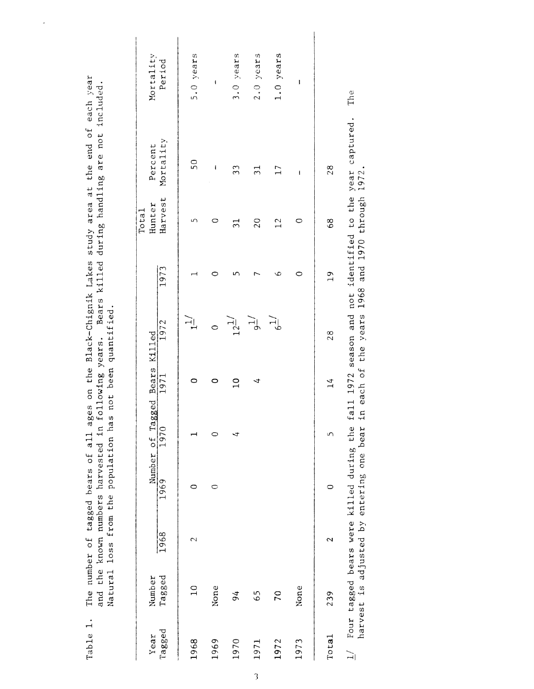| Year   | Number          |                 |      | Number of Tagged Bears Killed |               |                         |               | Hunter<br>Total | Percent         | Mortality            |
|--------|-----------------|-----------------|------|-------------------------------|---------------|-------------------------|---------------|-----------------|-----------------|----------------------|
| Tagged | Tagged          | 1968            | 1969 | 1970                          | 1971          | 1972                    | 1973          | Harvest         | Mortality       | Period               |
| 1968   | $\frac{0}{1}$   | $\mathbf{\sim}$ | 0    |                               |               | $\overline{H}$          |               | S               | $\overline{50}$ | 5.0 years            |
| 1969   | None            |                 | 0    | ○                             | 0             | $\circ$                 | 0             | 0               | ı               | $\pmb{\mathfrak{f}}$ |
| 1970   | $\overline{94}$ |                 |      | ₹                             | $\frac{1}{2}$ | $12^{\underline{11}}$   | 5             | $\Xi$           | 33              | 3.0 years            |
| 1971   | 65              |                 |      |                               | ₹             | $\widetilde{\vec{H}}$   |               | $\overline{20}$ | $\frac{1}{2}$   | $2.0$ years          |
| 1972   | 70              |                 |      |                               |               | $\widetilde{H}_{\rm b}$ | s             | $\frac{2}{1}$   | $\Gamma$        | 1.0 years            |
| 1973   | None            |                 |      |                               |               |                         | 0             | $\circ$         | ł               | I                    |
| Total  | 239             | 2               | 0    | 5                             | 14            | $\frac{8}{2}$           | $\frac{9}{1}$ | 68              | 28              |                      |

Table 1. The number of tagged bears of all ages on the Black-Chignik Lakes study area at the end of each year<br>and the known numbers barrooted in following wears are killed during hadding pro not included Table 1. The number of tagged bears of all ages on the Black-Chignik Lakes study area at the end of each year and the known numbers harvested in following years. Bears killed during handling are not included

 $\overline{\phantom{a}}$ 

 $1/$  Four tagged bears were killed during the fall 1972 season and not identified to the year captured. Th

 $\frac{1}{2}$ 

Four tagged bears were killed during the fall 1972 season and not identified to the year captured.<br>harvest is adjusted by entering one bear in each of the years 1968 and 1970 through 1972.

The

harvest is adiusted bv entering one bear in each of the years 1968 and 1970 through 1972.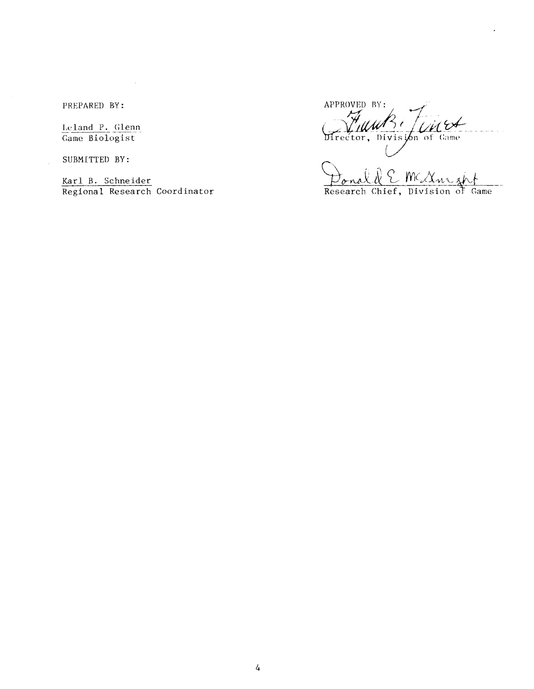PREPARED BY:

Leland P. Glenn Game Biologist

SUBMITTED BY:

APPROVED BY: <u>UM</u> Director, Division of Game

Karl B. Schneider Coordinator  $\frac{D_{\text{on}}\&C \text{McX}_{\text{no}}}{\text{Research Chief, Division of Game}}$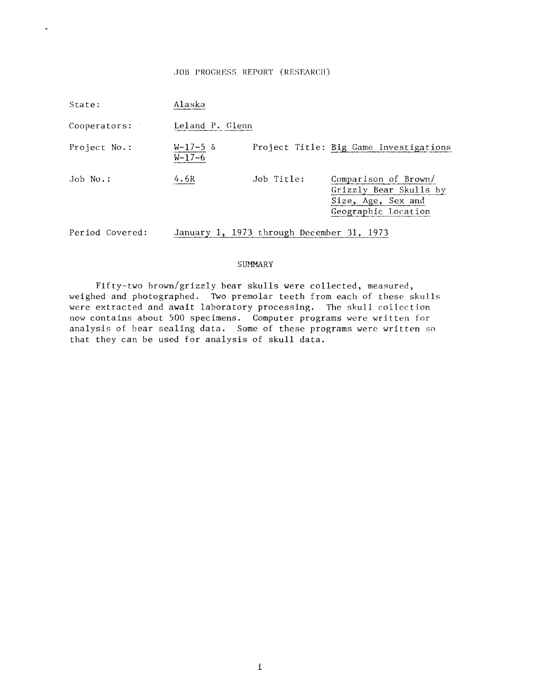## JOB PROGRESS REPORT (RESEARCH)

 $\ddot{\phantom{a}}$ 

| State:          | Alaska                     |                                           |                                                                                             |
|-----------------|----------------------------|-------------------------------------------|---------------------------------------------------------------------------------------------|
| Cooperators:    | Leland P. Glenn            |                                           |                                                                                             |
| Project No.:    | $W-17-5$ &<br>$W - 17 - 6$ |                                           | Project Title: Big Game Investigations                                                      |
| Job No.:        | 4.6R                       | Job Title:                                | Comparison of Brown/<br>Grizzly Bear Skulls by<br>Size, Age, Sex and<br>Geographic Location |
| Period Covered: |                            | January 1, 1973 through December 31, 1973 |                                                                                             |

## SUMMARY

Fifty-two brown/grizzly bear skulls were collected, measured, weighed and photographed. Two premolar teeth from each of these skulls were extracted and await laboratory processing. The skull collection now contains about 500 specimens. Computer programs were written for analysis of bear sealing data. Some of these programs were written so that they can be used for analysis of **skull** data.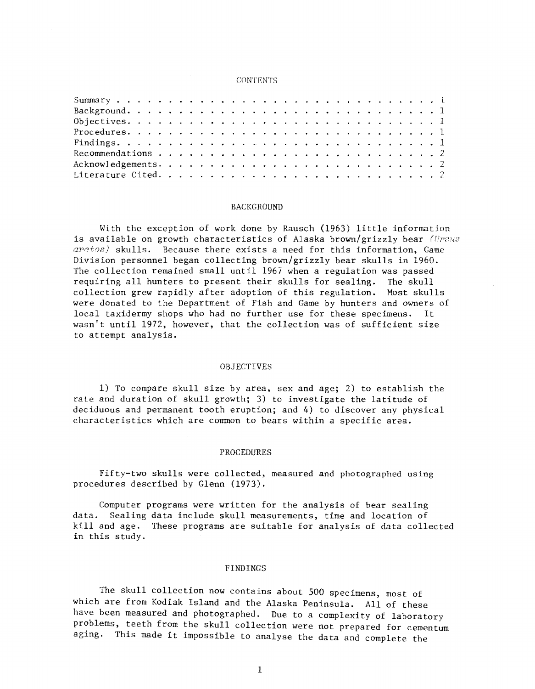#### CONTENTS

## BACKGROUND

With the exception of work done by Rausch (1963) little information is available on growth characteristics of Alaska brown/grizzly bear ( $UPSU3$ *arct0s)* skulls. Because there exists a need for this information, Game Division personnel began collecting brown/grizzly bear skulls in 1960. The collection remained small until 1967 when a regulation was passed requiring all hunters to present their skulls for sealing. The skull collection grew rapidly after adoption of this regulation. Most skulls were donated to the Department of Fish and Game by hunters and owners of local taxidermy shops who had no further use for these specimens. It wasn't until 1972, however, that the collection was of sufficient size to attempt analysis.

## OBJECTIVES

1) To compare skull size by area, sex and age; 2) to establish the rate and duration of skull growth; 3) to investigate the latitude of deciduous and permanent tooth eruption; and 4) to discover any physical characteristics which are common to bears within a specific area.

#### PROCEDURES

Fifty-two skulls were collected, measured and photographed using procedures described by Glenn (1973).

Computer programs were written for the analysis of bear sealing data. Sealing data include skull measurements, time and location of kill and age. These programs are suitable for analysis of data collected in this study.

## FINDINGS

The skull collection now contains about 500 specimens, most of which are from Kodiak Island and the Alaska Peninsula. All of these have been measured and photographed. Due to a complexity of laboratory problems, teeth from the skull collection were not prepared for cementum aging. This made it impossible to analyse the data and complete the